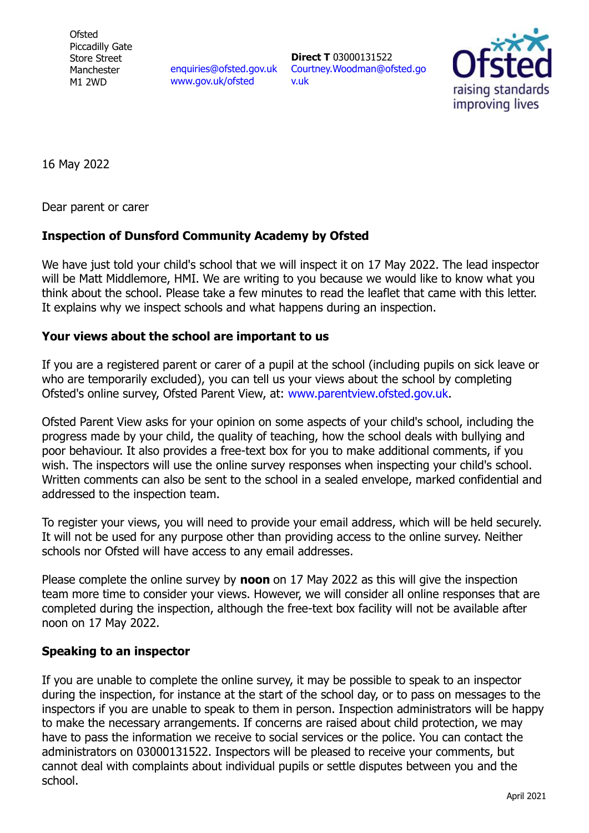**Ofsted** Piccadilly Gate Store Street Manchester M1 2WD

enquiries@ofsted.gov.uk www.gov.uk/ofsted

**Direct T** 03000131522 Courtney.Woodman@ofsted.go v.uk



16 May 2022

Dear parent or carer

## **Inspection of Dunsford Community Academy by Ofsted**

We have just told your child's school that we will inspect it on 17 May 2022. The lead inspector will be Matt Middlemore, HMI. We are writing to you because we would like to know what you think about the school. Please take a few minutes to read the leaflet that came with this letter. It explains why we inspect schools and what happens during an inspection.

## **Your views about the school are important to us**

If you are a registered parent or carer of a pupil at the school (including pupils on sick leave or who are temporarily excluded), you can tell us your views about the school by completing Ofsted's online survey, Ofsted Parent View, at: www.parentview.ofsted.gov.uk.

Ofsted Parent View asks for your opinion on some aspects of your child's school, including the progress made by your child, the quality of teaching, how the school deals with bullying and poor behaviour. It also provides a free-text box for you to make additional comments, if you wish. The inspectors will use the online survey responses when inspecting your child's school. Written comments can also be sent to the school in a sealed envelope, marked confidential and addressed to the inspection team.

To register your views, you will need to provide your email address, which will be held securely. It will not be used for any purpose other than providing access to the online survey. Neither schools nor Ofsted will have access to any email addresses.

Please complete the online survey by **noon** on 17 May 2022 as this will give the inspection team more time to consider your views. However, we will consider all online responses that are completed during the inspection, although the free-text box facility will not be available after noon on 17 May 2022.

## **Speaking to an inspector**

If you are unable to complete the online survey, it may be possible to speak to an inspector during the inspection, for instance at the start of the school day, or to pass on messages to the inspectors if you are unable to speak to them in person. Inspection administrators will be happy to make the necessary arrangements. If concerns are raised about child protection, we may have to pass the information we receive to social services or the police. You can contact the administrators on 03000131522. Inspectors will be pleased to receive your comments, but cannot deal with complaints about individual pupils or settle disputes between you and the school.